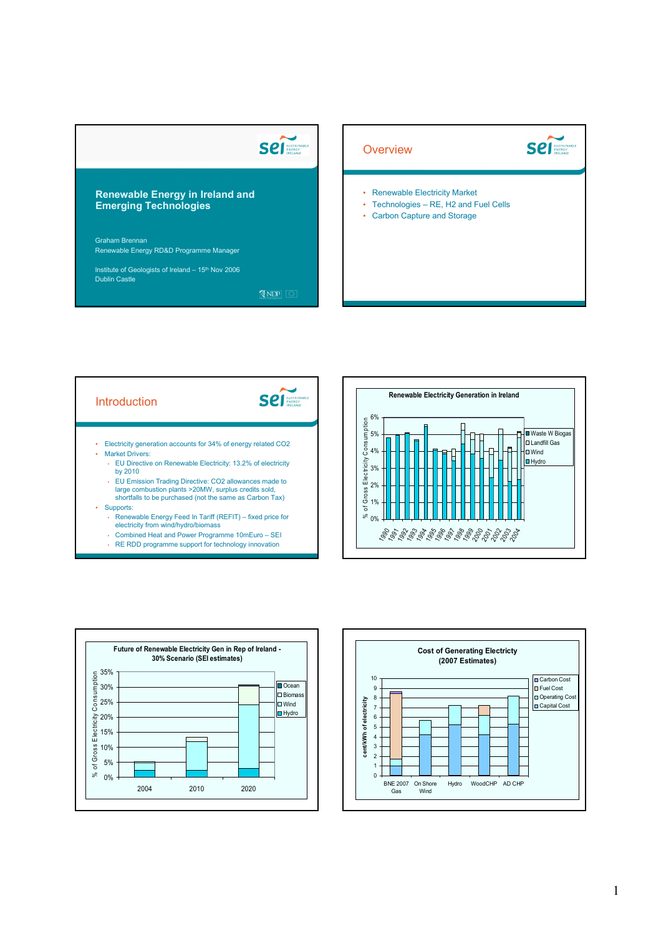## **Sell** SUSTAINS

## Renewable Energy in Ireland and Emerging Technologies

Graham Brennan Renewable Energy RD&D Programme Manager

Institute of Geologists of Ireland - 15<sup>th</sup> Nov 2006 Dublin Castle

 $NDP$ 











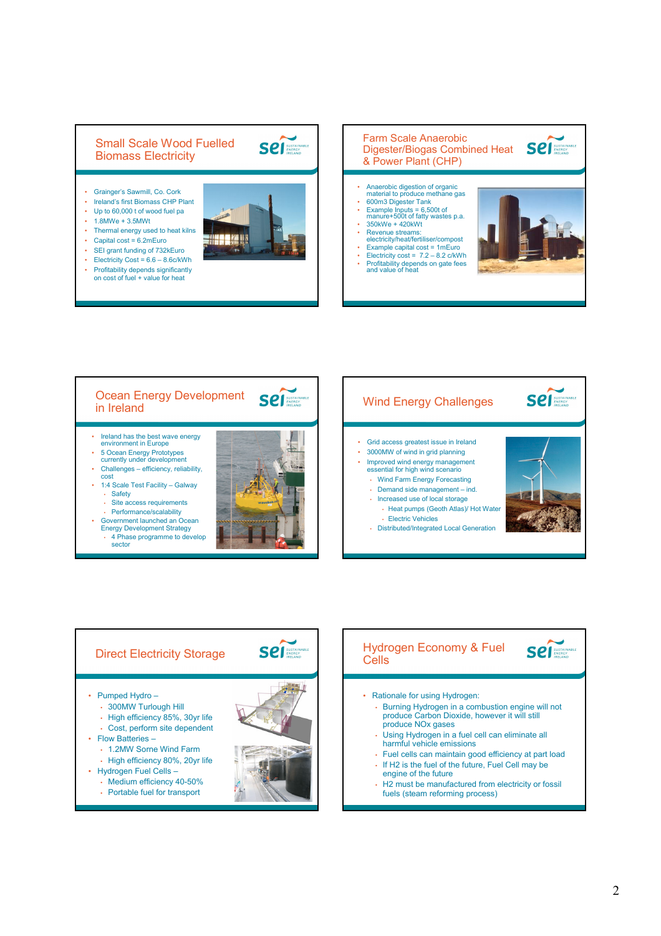## Small Scale Wood Fuelled Biomass Electricity

- Grainger's Sawmill, Co. Cork • Ireland's first Biomass CHP Plant
- Up to 60,000 t of wood fuel pa
- 1.8MWe + 3.5MWt
- Thermal energy used to heat kilns
- Capital cost =  $6.2$ mEuro<br>• SEI grant funding of 732
- SEI grant funding of 732kEuro
- Electricity Cost =  $6.6 8.6c/kWh$
- Profitability depends significantly on cost of fuel + value for heat



**Sell** SUSTAINABLE

## Farm Scale Anaerobic **Sell** SUSTAINAL Digester/Biogas Combined Heat & Power Plant (CHP)

- Anaerobic digestion of organic material to produce methane gas
- 600m3 Digester Tank<br>• Example Inputs = 6.50
- Example Inputs = 6,500t of manure+500t of fatty wastes p.a.  $\cdot$  350kWe + 420kWt
- Revenue streams: electricity/heat/fertiliser/compost
- Example capital cost = 1mEuro Electricity cost = 7.2 8.2 c/kWh
- Profitability depends on gate fees and value of heat





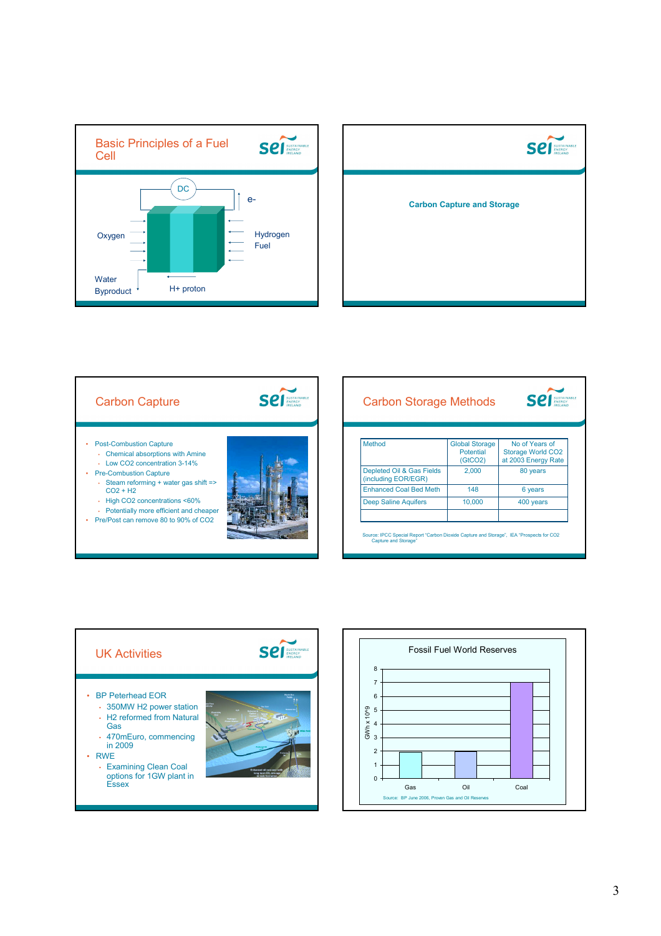